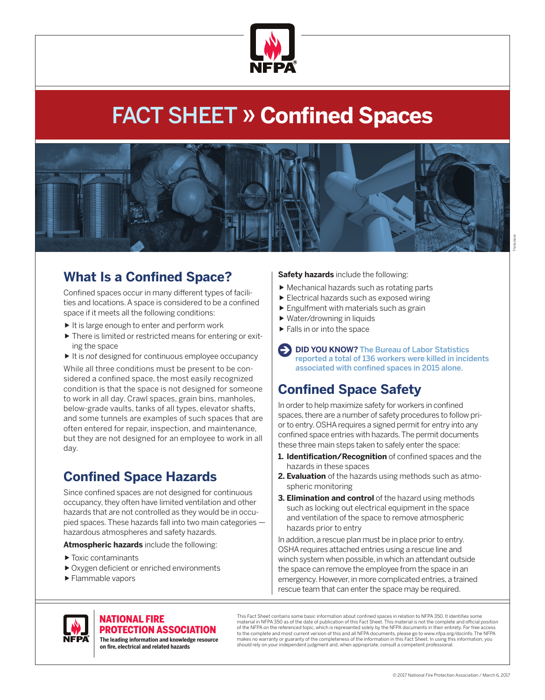

# FACT SHEET » **Confined Spaces**



# Thinkstock

### **What Is a Confined Space?**

Confined spaces occur in many different types of facilities and locations. A space is considered to be a confined space if it meets all the following conditions:

- $\blacktriangleright$  It is large enough to enter and perform work
- ▶ There is limited or restricted means for entering or exiting the space
- It is *not* designed for continuous employee occupancy

While all three conditions must be present to be considered a confined space, the most easily recognized condition is that the space is not designed for someone to work in all day. Crawl spaces, grain bins, manholes, below-grade vaults, tanks of all types, elevator shafts, and some tunnels are examples of such spaces that are often entered for repair, inspection, and maintenance, but they are not designed for an employee to work in all day.

## **Confined Space Hazards**

Since confined spaces are not designed for continuous occupancy, they often have limited ventilation and other hazards that are not controlled as they would be in occupied spaces. These hazards fall into two main categories hazardous atmospheres and safety hazards.

**Atmospheric hazards** include the following:

- ▶ Toxic contaminants
- ▶ Oxygen deficient or enriched environments
- ▶ Flammable vapors

#### **Safety hazards** include the following:

- Mechanical hazards such as rotating parts
- Electrical hazards such as exposed wiring
- Engulfment with materials such as grain
- ▶ Water/drowning in liquids
- Falls in or into the space
- **EXTIDE YOU KNOW?** The Bureau of Labor Statistics reported a total of 136 workers were killed in incidents associated with confined spaces in 2015 alone.

## **Confined Space Safety**

In order to help maximize safety for workers in confined spaces, there are a number of safety procedures to follow prior to entry. OSHA requires a signed permit for entry into any confined space entries with hazards. The permit documents these three main steps taken to safely enter the space:

- **1. Identification/Recognition** of confined spaces and the hazards in these spaces
- **2. Evaluation** of the hazards using methods such as atmospheric monitoring
- **3. Elimination and control** of the hazard using methods such as locking out electrical equipment in the space and ventilation of the space to remove atmospheric hazards prior to entry

In addition, a rescue plan must be in place prior to entry. OSHA requires attached entries using a rescue line and winch system when possible, in which an attendant outside the space can remove the employee from the space in an emergency. However, in more complicated entries, a trained rescue team that can enter the space may be required.



#### NATIONAL FIRE PROTECTION ASSOCIATION

**The leading information and knowledge resource on re, electrical and related hazards**

This Fact Sheet contains some basic information about confined spaces in relation to NFPA 350. It identifies some material in NFPA 350 as of the date of publication of this Fact Sheet. This material is not the complete and official position of the NFPA on the referenced topic, which is represented solely by the NFPA documents in their entirety. For free access to the complete and most current version of this and all NFPA documents, please go to www.nfpa.org/docinfo. The NFPA makes no warranty or guaranty of the completeness of the information in this Fact Sheet. In using this information, you should rely on your independent judgment and, when appropriate, consult a competent professional.